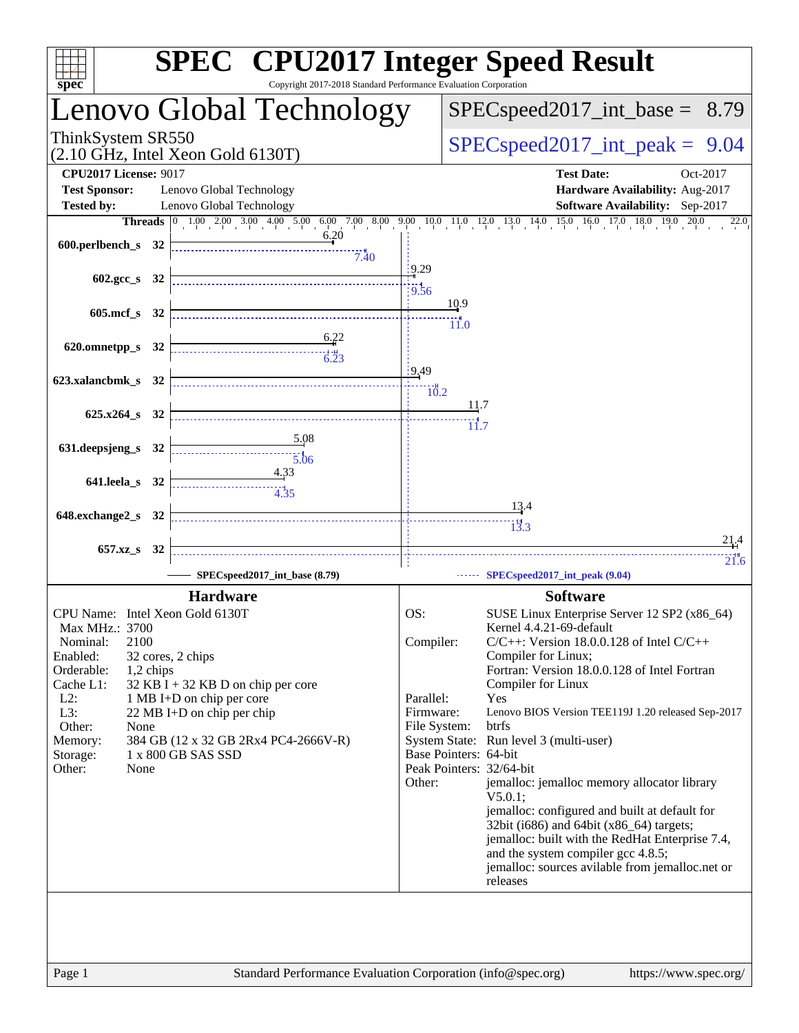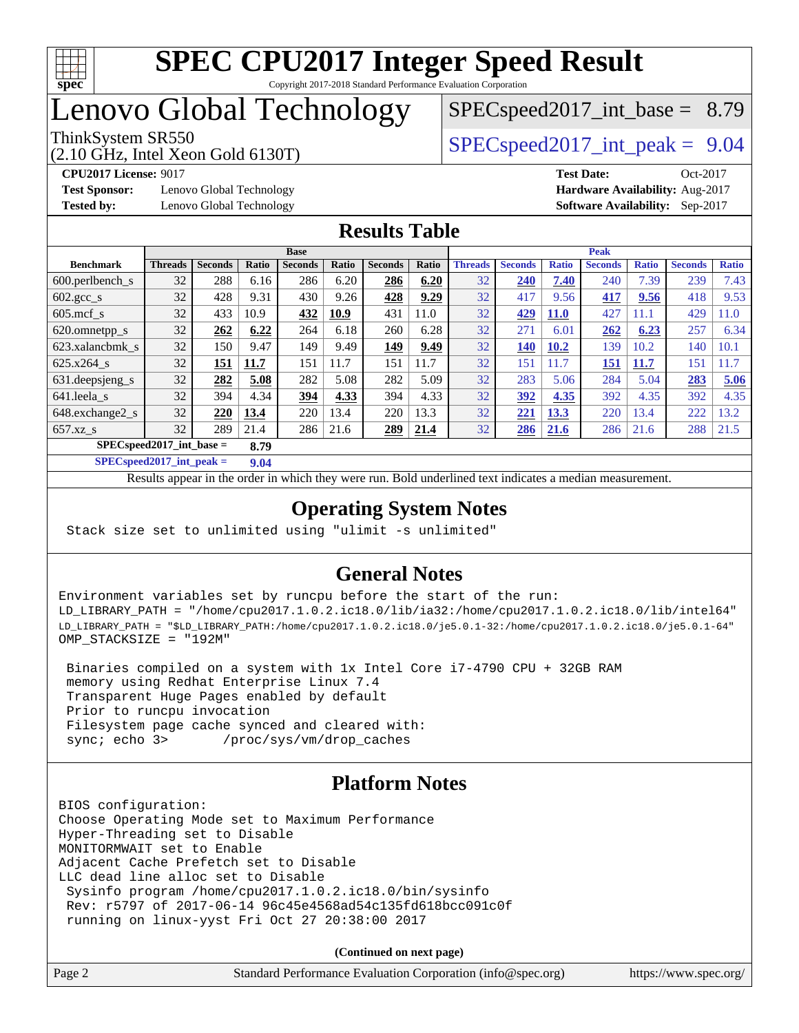

# Lenovo Global Technology

 $SPECspeed2017\_int\_base = 8.79$ 

(2.10 GHz, Intel Xeon Gold 6130T)

ThinkSystem SR550  $SPEC speed2017$  int peak = 9.04

**[Test Sponsor:](http://www.spec.org/auto/cpu2017/Docs/result-fields.html#TestSponsor)** Lenovo Global Technology **[Hardware Availability:](http://www.spec.org/auto/cpu2017/Docs/result-fields.html#HardwareAvailability)** Aug-2017 **[Tested by:](http://www.spec.org/auto/cpu2017/Docs/result-fields.html#Testedby)** Lenovo Global Technology **[Software Availability:](http://www.spec.org/auto/cpu2017/Docs/result-fields.html#SoftwareAvailability)** Sep-2017

**[CPU2017 License:](http://www.spec.org/auto/cpu2017/Docs/result-fields.html#CPU2017License)** 9017 **[Test Date:](http://www.spec.org/auto/cpu2017/Docs/result-fields.html#TestDate)** Oct-2017

### **[Results Table](http://www.spec.org/auto/cpu2017/Docs/result-fields.html#ResultsTable)**

|                                    | <b>Base</b>    |                |       |                |       |                | <b>Peak</b> |                |                |              |                |              |                |              |
|------------------------------------|----------------|----------------|-------|----------------|-------|----------------|-------------|----------------|----------------|--------------|----------------|--------------|----------------|--------------|
| <b>Benchmark</b>                   | <b>Threads</b> | <b>Seconds</b> | Ratio | <b>Seconds</b> | Ratio | <b>Seconds</b> | Ratio       | <b>Threads</b> | <b>Seconds</b> | <b>Ratio</b> | <b>Seconds</b> | <b>Ratio</b> | <b>Seconds</b> | <b>Ratio</b> |
| $600.$ perlbench $\mathsf{S}$      | 32             | 288            | 6.16  | 286            | 6.20  | 286            | 6.20        | 32             | 240            | 7.40         | 240            | 7.39         | 239            | 7.43         |
| $602.\text{gcc}\_\text{s}$         | 32             | 428            | 9.31  | 430            | 9.26  | 428            | 9.29        | 32             | 417            | 9.56         | 417            | 9.56         | 418            | 9.53         |
| $605$ .mcf s                       | 32             | 433            | 10.9  | 432            | 10.9  | 431            | 11.0        | 32             | 429            | <b>11.0</b>  | 427            | 11.1         | 429            | 11.0         |
| 620.omnetpp_s                      | 32             | 262            | 6.22  | 264            | 6.18  | 260            | 6.28        | 32             | 271            | 6.01         | 262            | 6.23         | 257            | 6.34         |
| 623.xalancbmk s                    | 32             | 150            | 9.47  | 149            | 9.49  | 149            | 9.49        | 32             | <b>140</b>     | <b>10.2</b>  | 139            | 10.2         | 140            | 10.1         |
| 625.x264 s                         | 32             | 151            | 11.7  | 151            | 11.7  | 151            | 11.7        | 32             | 151            | 11.7         | 151            | 11.7         | 151            | 1.7          |
| 631.deepsjeng_s                    | 32             | 282            | 5.08  | 282            | 5.08  | 282            | 5.09        | 32             | 283            | 5.06         | 284            | 5.04         | 283            | 5.06         |
| $641$ .leela_s                     | 32             | 394            | 4.34  | 394            | 4.33  | 394            | 4.33        | 32             | 392            | 4.35         | 392            | 4.35         | 392            | 4.35         |
| 648.exchange2_s                    | 32             | 220            | 13.4  | 220            | 13.4  | 220            | 13.3        | 32             | 221            | 13.3         | 220            | 3.4          | 222            | 13.2         |
| $657.xz$ s                         | 32             | 289            | 21.4  | 286            | 21.6  | 289            | 21.4        | 32             | 286            | 21.6         | 286            | 21.6         | 288            | 21.5         |
| $SPECspeed2017$ int base =<br>8.79 |                |                |       |                |       |                |             |                |                |              |                |              |                |              |

**[SPECspeed2017\\_int\\_peak =](http://www.spec.org/auto/cpu2017/Docs/result-fields.html#SPECspeed2017intpeak) 9.04**

Results appear in the [order in which they were run.](http://www.spec.org/auto/cpu2017/Docs/result-fields.html#RunOrder) Bold underlined text [indicates a median measurement](http://www.spec.org/auto/cpu2017/Docs/result-fields.html#Median).

### **[Operating System Notes](http://www.spec.org/auto/cpu2017/Docs/result-fields.html#OperatingSystemNotes)**

Stack size set to unlimited using "ulimit -s unlimited"

### **[General Notes](http://www.spec.org/auto/cpu2017/Docs/result-fields.html#GeneralNotes)**

Environment variables set by runcpu before the start of the run: LD\_LIBRARY\_PATH = "/home/cpu2017.1.0.2.ic18.0/lib/ia32:/home/cpu2017.1.0.2.ic18.0/lib/intel64" LD\_LIBRARY\_PATH = "\$LD\_LIBRARY\_PATH:/home/cpu2017.1.0.2.ic18.0/je5.0.1-32:/home/cpu2017.1.0.2.ic18.0/je5.0.1-64" OMP\_STACKSIZE = "192M"

 Binaries compiled on a system with 1x Intel Core i7-4790 CPU + 32GB RAM memory using Redhat Enterprise Linux 7.4 Transparent Huge Pages enabled by default Prior to runcpu invocation Filesystem page cache synced and cleared with: sync; echo 3> /proc/sys/vm/drop\_caches

### **[Platform Notes](http://www.spec.org/auto/cpu2017/Docs/result-fields.html#PlatformNotes)**

BIOS configuration: Choose Operating Mode set to Maximum Performance Hyper-Threading set to Disable MONITORMWAIT set to Enable Adjacent Cache Prefetch set to Disable LLC dead line alloc set to Disable Sysinfo program /home/cpu2017.1.0.2.ic18.0/bin/sysinfo Rev: r5797 of 2017-06-14 96c45e4568ad54c135fd618bcc091c0f running on linux-yyst Fri Oct 27 20:38:00 2017

**(Continued on next page)**

| Page 2<br>Standard Performance Evaluation Corporation (info@spec.org)<br>https://www.spec.org/ |
|------------------------------------------------------------------------------------------------|
|------------------------------------------------------------------------------------------------|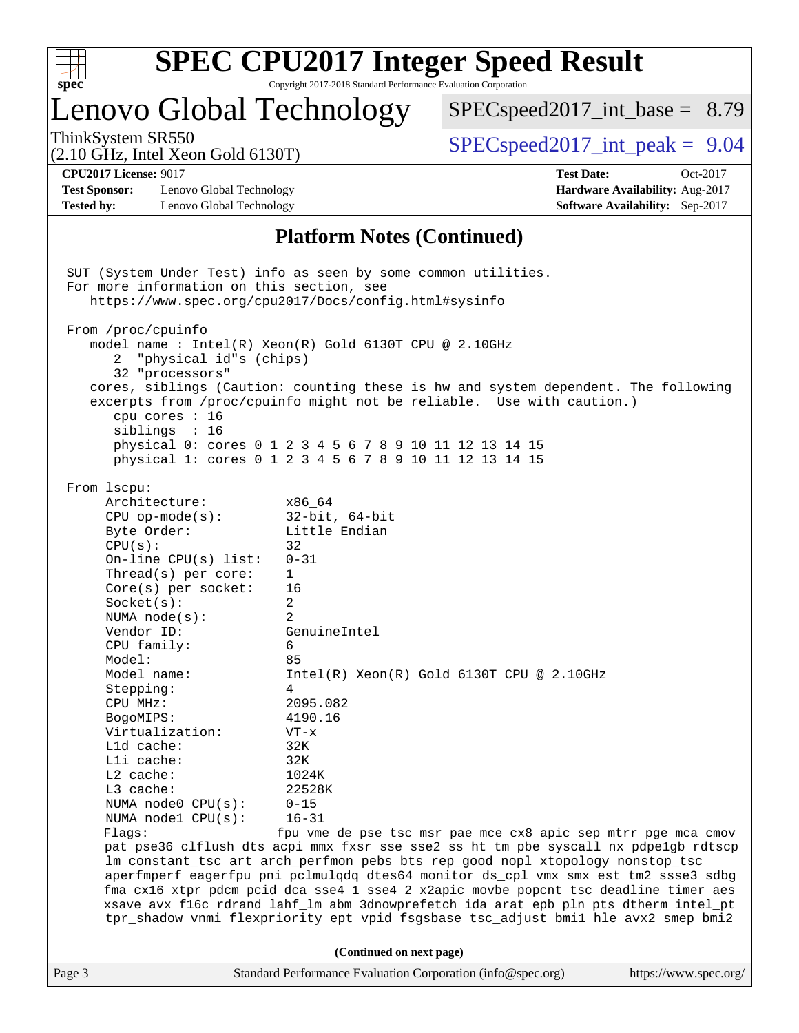| c<br>r<br>ù.<br>z |  |  |  |  |  |  |  |
|-------------------|--|--|--|--|--|--|--|

# Lenovo Global Technology

 $SPECspeed2017\_int\_base = 8.79$ 

(2.10 GHz, Intel Xeon Gold 6130T)

ThinkSystem SR550  $SPEC speed2017$  int peak = 9.04

**[Test Sponsor:](http://www.spec.org/auto/cpu2017/Docs/result-fields.html#TestSponsor)** Lenovo Global Technology **[Hardware Availability:](http://www.spec.org/auto/cpu2017/Docs/result-fields.html#HardwareAvailability)** Aug-2017 **[Tested by:](http://www.spec.org/auto/cpu2017/Docs/result-fields.html#Testedby)** Lenovo Global Technology **[Software Availability:](http://www.spec.org/auto/cpu2017/Docs/result-fields.html#SoftwareAvailability)** Sep-2017

**[CPU2017 License:](http://www.spec.org/auto/cpu2017/Docs/result-fields.html#CPU2017License)** 9017 **[Test Date:](http://www.spec.org/auto/cpu2017/Docs/result-fields.html#TestDate)** Oct-2017

### **[Platform Notes \(Continued\)](http://www.spec.org/auto/cpu2017/Docs/result-fields.html#PlatformNotes)**

Page 3 Standard Performance Evaluation Corporation [\(info@spec.org\)](mailto:info@spec.org) <https://www.spec.org/> SUT (System Under Test) info as seen by some common utilities. For more information on this section, see <https://www.spec.org/cpu2017/Docs/config.html#sysinfo> From /proc/cpuinfo model name : Intel(R) Xeon(R) Gold 6130T CPU @ 2.10GHz 2 "physical id"s (chips) 32 "processors" cores, siblings (Caution: counting these is hw and system dependent. The following excerpts from /proc/cpuinfo might not be reliable. Use with caution.) cpu cores : 16 siblings : 16 physical 0: cores 0 1 2 3 4 5 6 7 8 9 10 11 12 13 14 15 physical 1: cores 0 1 2 3 4 5 6 7 8 9 10 11 12 13 14 15 From lscpu: Architecture: x86\_64 CPU op-mode(s): 32-bit, 64-bit Byte Order: Little Endian  $CPU(s):$  32 On-line CPU(s) list: 0-31 Thread(s) per core: 1 Core(s) per socket: 16 Socket(s): 2 NUMA node(s): 2 Vendor ID: GenuineIntel CPU family: 6 Model: 85 Model name: Intel(R) Xeon(R) Gold 6130T CPU @ 2.10GHz Stepping: 4 CPU MHz: 2095.082 BogoMIPS: 4190.16 Virtualization: VT-x L1d cache: 32K L1i cache: 32K L2 cache: 1024K L3 cache: 22528K NUMA node0 CPU(s): 0-15 NUMA node1 CPU(s): 16-31 Flags: fpu vme de pse tsc msr pae mce cx8 apic sep mtrr pge mca cmov pat pse36 clflush dts acpi mmx fxsr sse sse2 ss ht tm pbe syscall nx pdpe1gb rdtscp lm constant\_tsc art arch\_perfmon pebs bts rep\_good nopl xtopology nonstop\_tsc aperfmperf eagerfpu pni pclmulqdq dtes64 monitor ds\_cpl vmx smx est tm2 ssse3 sdbg fma cx16 xtpr pdcm pcid dca sse4\_1 sse4\_2 x2apic movbe popcnt tsc\_deadline\_timer aes xsave avx f16c rdrand lahf\_lm abm 3dnowprefetch ida arat epb pln pts dtherm intel\_pt tpr\_shadow vnmi flexpriority ept vpid fsgsbase tsc\_adjust bmi1 hle avx2 smep bmi2 **(Continued on next page)**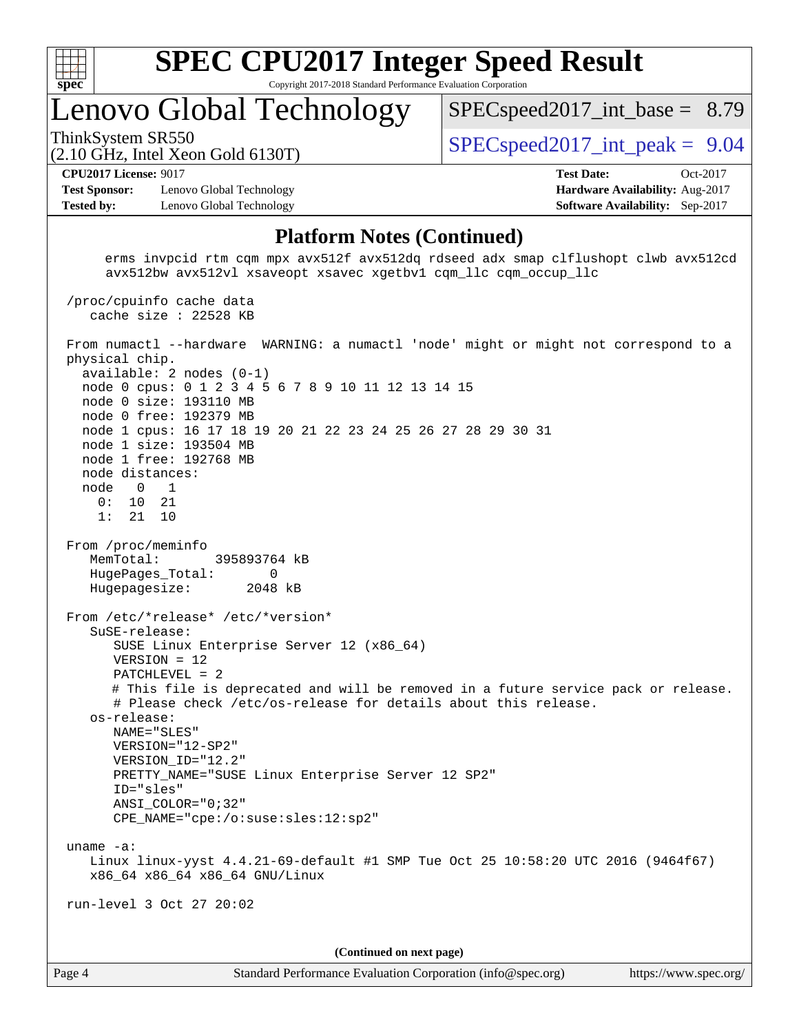

# Lenovo Global Technology

 $SPEC speed2017\_int\_base = 8.79$ 

(2.10 GHz, Intel Xeon Gold 6130T)

ThinkSystem SR550  $SPEC speed2017$  int peak = 9.04

#### **[CPU2017 License:](http://www.spec.org/auto/cpu2017/Docs/result-fields.html#CPU2017License)** 9017 **[Test Date:](http://www.spec.org/auto/cpu2017/Docs/result-fields.html#TestDate)** Oct-2017

**[Test Sponsor:](http://www.spec.org/auto/cpu2017/Docs/result-fields.html#TestSponsor)** Lenovo Global Technology **[Hardware Availability:](http://www.spec.org/auto/cpu2017/Docs/result-fields.html#HardwareAvailability)** Aug-2017 **[Tested by:](http://www.spec.org/auto/cpu2017/Docs/result-fields.html#Testedby)** Lenovo Global Technology **[Software Availability:](http://www.spec.org/auto/cpu2017/Docs/result-fields.html#SoftwareAvailability)** Sep-2017

/proc/cpuinfo cache data

### **[Platform Notes \(Continued\)](http://www.spec.org/auto/cpu2017/Docs/result-fields.html#PlatformNotes)**

 erms invpcid rtm cqm mpx avx512f avx512dq rdseed adx smap clflushopt clwb avx512cd avx512bw avx512vl xsaveopt xsavec xgetbv1 cqm\_llc cqm\_occup\_llc

Page 4 Standard Performance Evaluation Corporation [\(info@spec.org\)](mailto:info@spec.org) <https://www.spec.org/> cache size : 22528 KB From numactl --hardware WARNING: a numactl 'node' might or might not correspond to a physical chip. available: 2 nodes (0-1) node 0 cpus: 0 1 2 3 4 5 6 7 8 9 10 11 12 13 14 15 node 0 size: 193110 MB node 0 free: 192379 MB node 1 cpus: 16 17 18 19 20 21 22 23 24 25 26 27 28 29 30 31 node 1 size: 193504 MB node 1 free: 192768 MB node distances: node 0 1 0: 10 21 1: 21 10 From /proc/meminfo MemTotal: 395893764 kB HugePages\_Total: 0 Hugepagesize: 2048 kB From /etc/\*release\* /etc/\*version\* SuSE-release: SUSE Linux Enterprise Server 12 (x86\_64) VERSION = 12 PATCHLEVEL = 2 # This file is deprecated and will be removed in a future service pack or release. # Please check /etc/os-release for details about this release. os-release: NAME="SLES" VERSION="12-SP2" VERSION\_ID="12.2" PRETTY\_NAME="SUSE Linux Enterprise Server 12 SP2" ID="sles" ANSI\_COLOR="0;32" CPE\_NAME="cpe:/o:suse:sles:12:sp2" uname -a: Linux linux-yyst 4.4.21-69-default #1 SMP Tue Oct 25 10:58:20 UTC 2016 (9464f67) x86\_64 x86\_64 x86\_64 GNU/Linux run-level 3 Oct 27 20:02 **(Continued on next page)**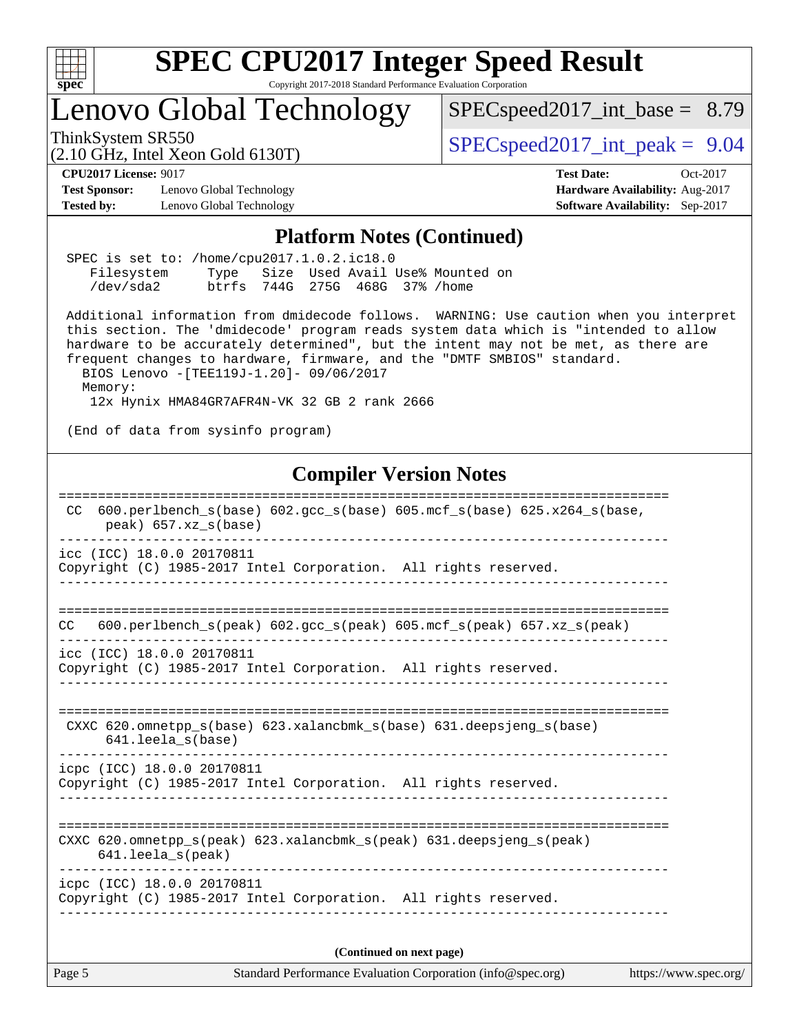

# Lenovo Global Technology

[SPECspeed2017\\_int\\_base =](http://www.spec.org/auto/cpu2017/Docs/result-fields.html#SPECspeed2017intbase) 8.79

(2.10 GHz, Intel Xeon Gold 6130T)

ThinkSystem SR550<br>(2.10 GHz, Intel Year Gold 6130T)  $\text{SPEC speed2017\_int\_peak} = 9.04$ 

**[Test Sponsor:](http://www.spec.org/auto/cpu2017/Docs/result-fields.html#TestSponsor)** Lenovo Global Technology **[Hardware Availability:](http://www.spec.org/auto/cpu2017/Docs/result-fields.html#HardwareAvailability)** Aug-2017 **[Tested by:](http://www.spec.org/auto/cpu2017/Docs/result-fields.html#Testedby)** Lenovo Global Technology **[Software Availability:](http://www.spec.org/auto/cpu2017/Docs/result-fields.html#SoftwareAvailability)** Sep-2017

**[CPU2017 License:](http://www.spec.org/auto/cpu2017/Docs/result-fields.html#CPU2017License)** 9017 **[Test Date:](http://www.spec.org/auto/cpu2017/Docs/result-fields.html#TestDate)** Oct-2017

#### **[Platform Notes \(Continued\)](http://www.spec.org/auto/cpu2017/Docs/result-fields.html#PlatformNotes)**

| SPEC is set to: /home/cpu2017.1.0.2.ic18.0 |                                 |  |  |                                      |  |
|--------------------------------------------|---------------------------------|--|--|--------------------------------------|--|
| Filesystem                                 |                                 |  |  | Type Size Used Avail Use% Mounted on |  |
| /dev/sda2                                  | btrfs 744G 275G 468G 37% / home |  |  |                                      |  |

 Additional information from dmidecode follows. WARNING: Use caution when you interpret this section. The 'dmidecode' program reads system data which is "intended to allow hardware to be accurately determined", but the intent may not be met, as there are frequent changes to hardware, firmware, and the "DMTF SMBIOS" standard. BIOS Lenovo -[TEE119J-1.20]- 09/06/2017

Memory:

12x Hynix HMA84GR7AFR4N-VK 32 GB 2 rank 2666

(End of data from sysinfo program)

### **[Compiler Version Notes](http://www.spec.org/auto/cpu2017/Docs/result-fields.html#CompilerVersionNotes)**

| Copyright (C) 1985-2017 Intel Corporation. All rights reserved.<br>CXXC 620.omnetpp_s(peak) 623.xalancbmk_s(peak) 631.deepsjeng_s(peak)<br>$641.$ leela $s$ (peak)<br>icpc (ICC) 18.0.0 20170811<br>Copyright (C) 1985-2017 Intel Corporation. All rights reserved.<br>(Continued on next page) | https://www.spec.org/ |
|-------------------------------------------------------------------------------------------------------------------------------------------------------------------------------------------------------------------------------------------------------------------------------------------------|-----------------------|
|                                                                                                                                                                                                                                                                                                 |                       |
|                                                                                                                                                                                                                                                                                                 |                       |
|                                                                                                                                                                                                                                                                                                 |                       |
| icpc (ICC) 18.0.0 20170811                                                                                                                                                                                                                                                                      |                       |
| CXXC 620.omnetpp_s(base) 623.xalancbmk_s(base) 631.deepsjeng_s(base)<br>$641.$ leela_s(base)                                                                                                                                                                                                    |                       |
| icc (ICC) 18.0.0 20170811<br>Copyright (C) 1985-2017 Intel Corporation. All rights reserved.                                                                                                                                                                                                    |                       |
| 600.perlbench $s(\text{peak})$ 602.gcc $s(\text{peak})$ 605.mcf $s(\text{peak})$ 657.xz $s(\text{peak})$<br>CC.                                                                                                                                                                                 |                       |
| icc (ICC) 18.0.0 20170811<br>Copyright (C) 1985-2017 Intel Corporation. All rights reserved.                                                                                                                                                                                                    |                       |
| $600. perlbench_s(base) 602. gcc_s(base) 605. mcf_s(base) 625. x264_s(base,$<br>CC.<br>$peak)$ 657.xz_s(base)                                                                                                                                                                                   |                       |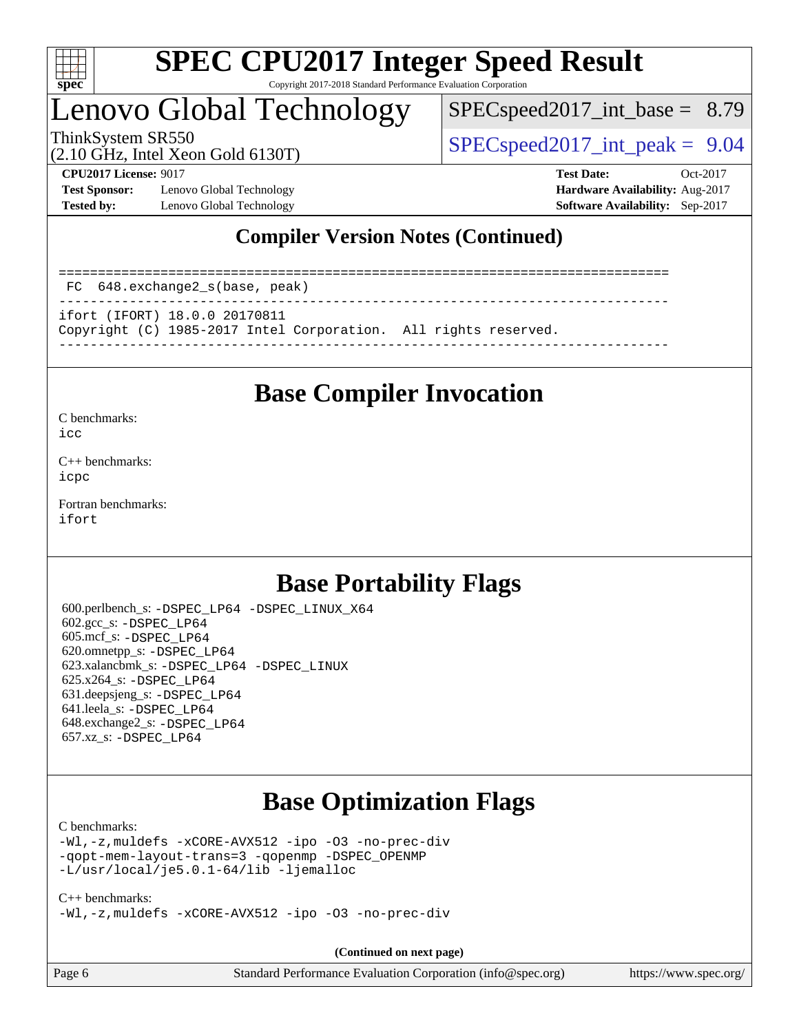

# Lenovo Global Technology

 $SPECspeed2017\_int\_base = 8.79$ 

ThinkSystem SR550  $SPEC speed2017$  int peak = 9.04

**[Test Sponsor:](http://www.spec.org/auto/cpu2017/Docs/result-fields.html#TestSponsor)** Lenovo Global Technology **[Hardware Availability:](http://www.spec.org/auto/cpu2017/Docs/result-fields.html#HardwareAvailability)** Aug-2017 **[Tested by:](http://www.spec.org/auto/cpu2017/Docs/result-fields.html#Testedby)** Lenovo Global Technology **[Software Availability:](http://www.spec.org/auto/cpu2017/Docs/result-fields.html#SoftwareAvailability)** Sep-2017

(2.10 GHz, Intel Xeon Gold 6130T)

**[CPU2017 License:](http://www.spec.org/auto/cpu2017/Docs/result-fields.html#CPU2017License)** 9017 **[Test Date:](http://www.spec.org/auto/cpu2017/Docs/result-fields.html#TestDate)** Oct-2017

### **[Compiler Version Notes \(Continued\)](http://www.spec.org/auto/cpu2017/Docs/result-fields.html#CompilerVersionNotes)**

============================================================================== FC 648.exchange2\_s(base, peak) ----------------------------------------------------------------------------- ifort (IFORT) 18.0.0 20170811 Copyright (C) 1985-2017 Intel Corporation. All rights reserved.

------------------------------------------------------------------------------

### **[Base Compiler Invocation](http://www.spec.org/auto/cpu2017/Docs/result-fields.html#BaseCompilerInvocation)**

[C benchmarks](http://www.spec.org/auto/cpu2017/Docs/result-fields.html#Cbenchmarks):

[icc](http://www.spec.org/cpu2017/results/res2018q1/cpu2017-20171225-02196.flags.html#user_CCbase_intel_icc_18.0_66fc1ee009f7361af1fbd72ca7dcefbb700085f36577c54f309893dd4ec40d12360134090235512931783d35fd58c0460139e722d5067c5574d8eaf2b3e37e92)

[C++ benchmarks:](http://www.spec.org/auto/cpu2017/Docs/result-fields.html#CXXbenchmarks) [icpc](http://www.spec.org/cpu2017/results/res2018q1/cpu2017-20171225-02196.flags.html#user_CXXbase_intel_icpc_18.0_c510b6838c7f56d33e37e94d029a35b4a7bccf4766a728ee175e80a419847e808290a9b78be685c44ab727ea267ec2f070ec5dc83b407c0218cded6866a35d07)

[Fortran benchmarks](http://www.spec.org/auto/cpu2017/Docs/result-fields.html#Fortranbenchmarks): [ifort](http://www.spec.org/cpu2017/results/res2018q1/cpu2017-20171225-02196.flags.html#user_FCbase_intel_ifort_18.0_8111460550e3ca792625aed983ce982f94888b8b503583aa7ba2b8303487b4d8a21a13e7191a45c5fd58ff318f48f9492884d4413fa793fd88dd292cad7027ca)

## **[Base Portability Flags](http://www.spec.org/auto/cpu2017/Docs/result-fields.html#BasePortabilityFlags)**

 600.perlbench\_s: [-DSPEC\\_LP64](http://www.spec.org/cpu2017/results/res2018q1/cpu2017-20171225-02196.flags.html#b600.perlbench_s_basePORTABILITY_DSPEC_LP64) [-DSPEC\\_LINUX\\_X64](http://www.spec.org/cpu2017/results/res2018q1/cpu2017-20171225-02196.flags.html#b600.perlbench_s_baseCPORTABILITY_DSPEC_LINUX_X64) 602.gcc\_s: [-DSPEC\\_LP64](http://www.spec.org/cpu2017/results/res2018q1/cpu2017-20171225-02196.flags.html#suite_basePORTABILITY602_gcc_s_DSPEC_LP64) 605.mcf\_s: [-DSPEC\\_LP64](http://www.spec.org/cpu2017/results/res2018q1/cpu2017-20171225-02196.flags.html#suite_basePORTABILITY605_mcf_s_DSPEC_LP64) 620.omnetpp\_s: [-DSPEC\\_LP64](http://www.spec.org/cpu2017/results/res2018q1/cpu2017-20171225-02196.flags.html#suite_basePORTABILITY620_omnetpp_s_DSPEC_LP64) 623.xalancbmk\_s: [-DSPEC\\_LP64](http://www.spec.org/cpu2017/results/res2018q1/cpu2017-20171225-02196.flags.html#suite_basePORTABILITY623_xalancbmk_s_DSPEC_LP64) [-DSPEC\\_LINUX](http://www.spec.org/cpu2017/results/res2018q1/cpu2017-20171225-02196.flags.html#b623.xalancbmk_s_baseCXXPORTABILITY_DSPEC_LINUX) 625.x264\_s: [-DSPEC\\_LP64](http://www.spec.org/cpu2017/results/res2018q1/cpu2017-20171225-02196.flags.html#suite_basePORTABILITY625_x264_s_DSPEC_LP64) 631.deepsjeng\_s: [-DSPEC\\_LP64](http://www.spec.org/cpu2017/results/res2018q1/cpu2017-20171225-02196.flags.html#suite_basePORTABILITY631_deepsjeng_s_DSPEC_LP64) 641.leela\_s: [-DSPEC\\_LP64](http://www.spec.org/cpu2017/results/res2018q1/cpu2017-20171225-02196.flags.html#suite_basePORTABILITY641_leela_s_DSPEC_LP64) 648.exchange2\_s: [-DSPEC\\_LP64](http://www.spec.org/cpu2017/results/res2018q1/cpu2017-20171225-02196.flags.html#suite_basePORTABILITY648_exchange2_s_DSPEC_LP64) 657.xz\_s: [-DSPEC\\_LP64](http://www.spec.org/cpu2017/results/res2018q1/cpu2017-20171225-02196.flags.html#suite_basePORTABILITY657_xz_s_DSPEC_LP64)

# **[Base Optimization Flags](http://www.spec.org/auto/cpu2017/Docs/result-fields.html#BaseOptimizationFlags)**

#### [C benchmarks](http://www.spec.org/auto/cpu2017/Docs/result-fields.html#Cbenchmarks):

[-Wl,-z,muldefs](http://www.spec.org/cpu2017/results/res2018q1/cpu2017-20171225-02196.flags.html#user_CCbase_link_force_multiple1_b4cbdb97b34bdee9ceefcfe54f4c8ea74255f0b02a4b23e853cdb0e18eb4525ac79b5a88067c842dd0ee6996c24547a27a4b99331201badda8798ef8a743f577) [-xCORE-AVX512](http://www.spec.org/cpu2017/results/res2018q1/cpu2017-20171225-02196.flags.html#user_CCbase_f-xCORE-AVX512) [-ipo](http://www.spec.org/cpu2017/results/res2018q1/cpu2017-20171225-02196.flags.html#user_CCbase_f-ipo) [-O3](http://www.spec.org/cpu2017/results/res2018q1/cpu2017-20171225-02196.flags.html#user_CCbase_f-O3) [-no-prec-div](http://www.spec.org/cpu2017/results/res2018q1/cpu2017-20171225-02196.flags.html#user_CCbase_f-no-prec-div) [-qopt-mem-layout-trans=3](http://www.spec.org/cpu2017/results/res2018q1/cpu2017-20171225-02196.flags.html#user_CCbase_f-qopt-mem-layout-trans_de80db37974c74b1f0e20d883f0b675c88c3b01e9d123adea9b28688d64333345fb62bc4a798493513fdb68f60282f9a726aa07f478b2f7113531aecce732043) [-qopenmp](http://www.spec.org/cpu2017/results/res2018q1/cpu2017-20171225-02196.flags.html#user_CCbase_qopenmp_16be0c44f24f464004c6784a7acb94aca937f053568ce72f94b139a11c7c168634a55f6653758ddd83bcf7b8463e8028bb0b48b77bcddc6b78d5d95bb1df2967) [-DSPEC\\_OPENMP](http://www.spec.org/cpu2017/results/res2018q1/cpu2017-20171225-02196.flags.html#suite_CCbase_DSPEC_OPENMP) [-L/usr/local/je5.0.1-64/lib](http://www.spec.org/cpu2017/results/res2018q1/cpu2017-20171225-02196.flags.html#user_CCbase_jemalloc_link_path64_4b10a636b7bce113509b17f3bd0d6226c5fb2346b9178c2d0232c14f04ab830f976640479e5c33dc2bcbbdad86ecfb6634cbbd4418746f06f368b512fced5394) [-ljemalloc](http://www.spec.org/cpu2017/results/res2018q1/cpu2017-20171225-02196.flags.html#user_CCbase_jemalloc_link_lib_d1249b907c500fa1c0672f44f562e3d0f79738ae9e3c4a9c376d49f265a04b9c99b167ecedbf6711b3085be911c67ff61f150a17b3472be731631ba4d0471706)

#### [C++ benchmarks:](http://www.spec.org/auto/cpu2017/Docs/result-fields.html#CXXbenchmarks)

[-Wl,-z,muldefs](http://www.spec.org/cpu2017/results/res2018q1/cpu2017-20171225-02196.flags.html#user_CXXbase_link_force_multiple1_b4cbdb97b34bdee9ceefcfe54f4c8ea74255f0b02a4b23e853cdb0e18eb4525ac79b5a88067c842dd0ee6996c24547a27a4b99331201badda8798ef8a743f577) [-xCORE-AVX512](http://www.spec.org/cpu2017/results/res2018q1/cpu2017-20171225-02196.flags.html#user_CXXbase_f-xCORE-AVX512) [-ipo](http://www.spec.org/cpu2017/results/res2018q1/cpu2017-20171225-02196.flags.html#user_CXXbase_f-ipo) [-O3](http://www.spec.org/cpu2017/results/res2018q1/cpu2017-20171225-02196.flags.html#user_CXXbase_f-O3) [-no-prec-div](http://www.spec.org/cpu2017/results/res2018q1/cpu2017-20171225-02196.flags.html#user_CXXbase_f-no-prec-div)

**(Continued on next page)**

| $\vert$ Page 6 | Standard Performance Evaluation Corporation (info@spec.org) | https://www.spec.org/ |
|----------------|-------------------------------------------------------------|-----------------------|
|----------------|-------------------------------------------------------------|-----------------------|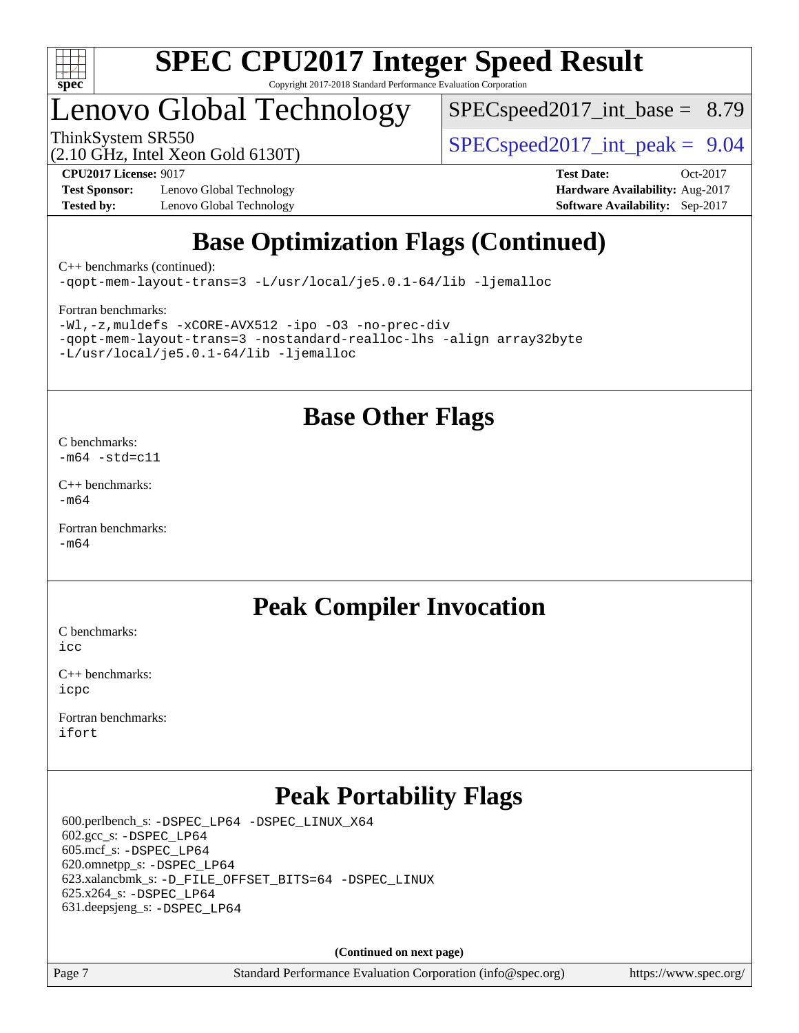

# Lenovo Global Technology

 $SPECspeed2017\_int\_base = 8.79$ 

ThinkSystem SR550  $SPEC speed2017$  int peak = 9.04

**[Test Sponsor:](http://www.spec.org/auto/cpu2017/Docs/result-fields.html#TestSponsor)** Lenovo Global Technology **[Hardware Availability:](http://www.spec.org/auto/cpu2017/Docs/result-fields.html#HardwareAvailability)** Aug-2017 **[Tested by:](http://www.spec.org/auto/cpu2017/Docs/result-fields.html#Testedby)** Lenovo Global Technology **[Software Availability:](http://www.spec.org/auto/cpu2017/Docs/result-fields.html#SoftwareAvailability)** Sep-2017

(2.10 GHz, Intel Xeon Gold 6130T)

**[CPU2017 License:](http://www.spec.org/auto/cpu2017/Docs/result-fields.html#CPU2017License)** 9017 **[Test Date:](http://www.spec.org/auto/cpu2017/Docs/result-fields.html#TestDate)** Oct-2017

# **[Base Optimization Flags \(Continued\)](http://www.spec.org/auto/cpu2017/Docs/result-fields.html#BaseOptimizationFlags)**

[C++ benchmarks](http://www.spec.org/auto/cpu2017/Docs/result-fields.html#CXXbenchmarks) (continued):

[-qopt-mem-layout-trans=3](http://www.spec.org/cpu2017/results/res2018q1/cpu2017-20171225-02196.flags.html#user_CXXbase_f-qopt-mem-layout-trans_de80db37974c74b1f0e20d883f0b675c88c3b01e9d123adea9b28688d64333345fb62bc4a798493513fdb68f60282f9a726aa07f478b2f7113531aecce732043) [-L/usr/local/je5.0.1-64/lib](http://www.spec.org/cpu2017/results/res2018q1/cpu2017-20171225-02196.flags.html#user_CXXbase_jemalloc_link_path64_4b10a636b7bce113509b17f3bd0d6226c5fb2346b9178c2d0232c14f04ab830f976640479e5c33dc2bcbbdad86ecfb6634cbbd4418746f06f368b512fced5394) [-ljemalloc](http://www.spec.org/cpu2017/results/res2018q1/cpu2017-20171225-02196.flags.html#user_CXXbase_jemalloc_link_lib_d1249b907c500fa1c0672f44f562e3d0f79738ae9e3c4a9c376d49f265a04b9c99b167ecedbf6711b3085be911c67ff61f150a17b3472be731631ba4d0471706)

#### [Fortran benchmarks](http://www.spec.org/auto/cpu2017/Docs/result-fields.html#Fortranbenchmarks):

[-Wl,-z,muldefs](http://www.spec.org/cpu2017/results/res2018q1/cpu2017-20171225-02196.flags.html#user_FCbase_link_force_multiple1_b4cbdb97b34bdee9ceefcfe54f4c8ea74255f0b02a4b23e853cdb0e18eb4525ac79b5a88067c842dd0ee6996c24547a27a4b99331201badda8798ef8a743f577) [-xCORE-AVX512](http://www.spec.org/cpu2017/results/res2018q1/cpu2017-20171225-02196.flags.html#user_FCbase_f-xCORE-AVX512) [-ipo](http://www.spec.org/cpu2017/results/res2018q1/cpu2017-20171225-02196.flags.html#user_FCbase_f-ipo) [-O3](http://www.spec.org/cpu2017/results/res2018q1/cpu2017-20171225-02196.flags.html#user_FCbase_f-O3) [-no-prec-div](http://www.spec.org/cpu2017/results/res2018q1/cpu2017-20171225-02196.flags.html#user_FCbase_f-no-prec-div) [-qopt-mem-layout-trans=3](http://www.spec.org/cpu2017/results/res2018q1/cpu2017-20171225-02196.flags.html#user_FCbase_f-qopt-mem-layout-trans_de80db37974c74b1f0e20d883f0b675c88c3b01e9d123adea9b28688d64333345fb62bc4a798493513fdb68f60282f9a726aa07f478b2f7113531aecce732043) [-nostandard-realloc-lhs](http://www.spec.org/cpu2017/results/res2018q1/cpu2017-20171225-02196.flags.html#user_FCbase_f_2003_std_realloc_82b4557e90729c0f113870c07e44d33d6f5a304b4f63d4c15d2d0f1fab99f5daaed73bdb9275d9ae411527f28b936061aa8b9c8f2d63842963b95c9dd6426b8a) [-align array32byte](http://www.spec.org/cpu2017/results/res2018q1/cpu2017-20171225-02196.flags.html#user_FCbase_align_array32byte_b982fe038af199962ba9a80c053b8342c548c85b40b8e86eb3cc33dee0d7986a4af373ac2d51c3f7cf710a18d62fdce2948f201cd044323541f22fc0fffc51b6) [-L/usr/local/je5.0.1-64/lib](http://www.spec.org/cpu2017/results/res2018q1/cpu2017-20171225-02196.flags.html#user_FCbase_jemalloc_link_path64_4b10a636b7bce113509b17f3bd0d6226c5fb2346b9178c2d0232c14f04ab830f976640479e5c33dc2bcbbdad86ecfb6634cbbd4418746f06f368b512fced5394) [-ljemalloc](http://www.spec.org/cpu2017/results/res2018q1/cpu2017-20171225-02196.flags.html#user_FCbase_jemalloc_link_lib_d1249b907c500fa1c0672f44f562e3d0f79738ae9e3c4a9c376d49f265a04b9c99b167ecedbf6711b3085be911c67ff61f150a17b3472be731631ba4d0471706)

### **[Base Other Flags](http://www.spec.org/auto/cpu2017/Docs/result-fields.html#BaseOtherFlags)**

[C benchmarks](http://www.spec.org/auto/cpu2017/Docs/result-fields.html#Cbenchmarks):  $-m64$   $-std=cl1$ 

[C++ benchmarks:](http://www.spec.org/auto/cpu2017/Docs/result-fields.html#CXXbenchmarks) [-m64](http://www.spec.org/cpu2017/results/res2018q1/cpu2017-20171225-02196.flags.html#user_CXXbase_intel_intel64_18.0_af43caccfc8ded86e7699f2159af6efc7655f51387b94da716254467f3c01020a5059329e2569e4053f409e7c9202a7efc638f7a6d1ffb3f52dea4a3e31d82ab)

[Fortran benchmarks](http://www.spec.org/auto/cpu2017/Docs/result-fields.html#Fortranbenchmarks): [-m64](http://www.spec.org/cpu2017/results/res2018q1/cpu2017-20171225-02196.flags.html#user_FCbase_intel_intel64_18.0_af43caccfc8ded86e7699f2159af6efc7655f51387b94da716254467f3c01020a5059329e2569e4053f409e7c9202a7efc638f7a6d1ffb3f52dea4a3e31d82ab)

## **[Peak Compiler Invocation](http://www.spec.org/auto/cpu2017/Docs/result-fields.html#PeakCompilerInvocation)**

[C benchmarks](http://www.spec.org/auto/cpu2017/Docs/result-fields.html#Cbenchmarks): [icc](http://www.spec.org/cpu2017/results/res2018q1/cpu2017-20171225-02196.flags.html#user_CCpeak_intel_icc_18.0_66fc1ee009f7361af1fbd72ca7dcefbb700085f36577c54f309893dd4ec40d12360134090235512931783d35fd58c0460139e722d5067c5574d8eaf2b3e37e92)

[C++ benchmarks:](http://www.spec.org/auto/cpu2017/Docs/result-fields.html#CXXbenchmarks) [icpc](http://www.spec.org/cpu2017/results/res2018q1/cpu2017-20171225-02196.flags.html#user_CXXpeak_intel_icpc_18.0_c510b6838c7f56d33e37e94d029a35b4a7bccf4766a728ee175e80a419847e808290a9b78be685c44ab727ea267ec2f070ec5dc83b407c0218cded6866a35d07)

[Fortran benchmarks](http://www.spec.org/auto/cpu2017/Docs/result-fields.html#Fortranbenchmarks): [ifort](http://www.spec.org/cpu2017/results/res2018q1/cpu2017-20171225-02196.flags.html#user_FCpeak_intel_ifort_18.0_8111460550e3ca792625aed983ce982f94888b8b503583aa7ba2b8303487b4d8a21a13e7191a45c5fd58ff318f48f9492884d4413fa793fd88dd292cad7027ca)

# **[Peak Portability Flags](http://www.spec.org/auto/cpu2017/Docs/result-fields.html#PeakPortabilityFlags)**

 600.perlbench\_s: [-DSPEC\\_LP64](http://www.spec.org/cpu2017/results/res2018q1/cpu2017-20171225-02196.flags.html#b600.perlbench_s_peakPORTABILITY_DSPEC_LP64) [-DSPEC\\_LINUX\\_X64](http://www.spec.org/cpu2017/results/res2018q1/cpu2017-20171225-02196.flags.html#b600.perlbench_s_peakCPORTABILITY_DSPEC_LINUX_X64)  $602.\text{gcc}\$ : -DSPEC LP64 605.mcf\_s: [-DSPEC\\_LP64](http://www.spec.org/cpu2017/results/res2018q1/cpu2017-20171225-02196.flags.html#suite_peakPORTABILITY605_mcf_s_DSPEC_LP64) 620.omnetpp\_s: [-DSPEC\\_LP64](http://www.spec.org/cpu2017/results/res2018q1/cpu2017-20171225-02196.flags.html#suite_peakPORTABILITY620_omnetpp_s_DSPEC_LP64) 623.xalancbmk\_s: [-D\\_FILE\\_OFFSET\\_BITS=64](http://www.spec.org/cpu2017/results/res2018q1/cpu2017-20171225-02196.flags.html#user_peakPORTABILITY623_xalancbmk_s_file_offset_bits_64_5ae949a99b284ddf4e95728d47cb0843d81b2eb0e18bdfe74bbf0f61d0b064f4bda2f10ea5eb90e1dcab0e84dbc592acfc5018bc955c18609f94ddb8d550002c) [-DSPEC\\_LINUX](http://www.spec.org/cpu2017/results/res2018q1/cpu2017-20171225-02196.flags.html#b623.xalancbmk_s_peakCXXPORTABILITY_DSPEC_LINUX) 625.x264\_s: [-DSPEC\\_LP64](http://www.spec.org/cpu2017/results/res2018q1/cpu2017-20171225-02196.flags.html#suite_peakPORTABILITY625_x264_s_DSPEC_LP64) 631.deepsjeng\_s: [-DSPEC\\_LP64](http://www.spec.org/cpu2017/results/res2018q1/cpu2017-20171225-02196.flags.html#suite_peakPORTABILITY631_deepsjeng_s_DSPEC_LP64)

**(Continued on next page)**

Page 7 Standard Performance Evaluation Corporation [\(info@spec.org\)](mailto:info@spec.org) <https://www.spec.org/>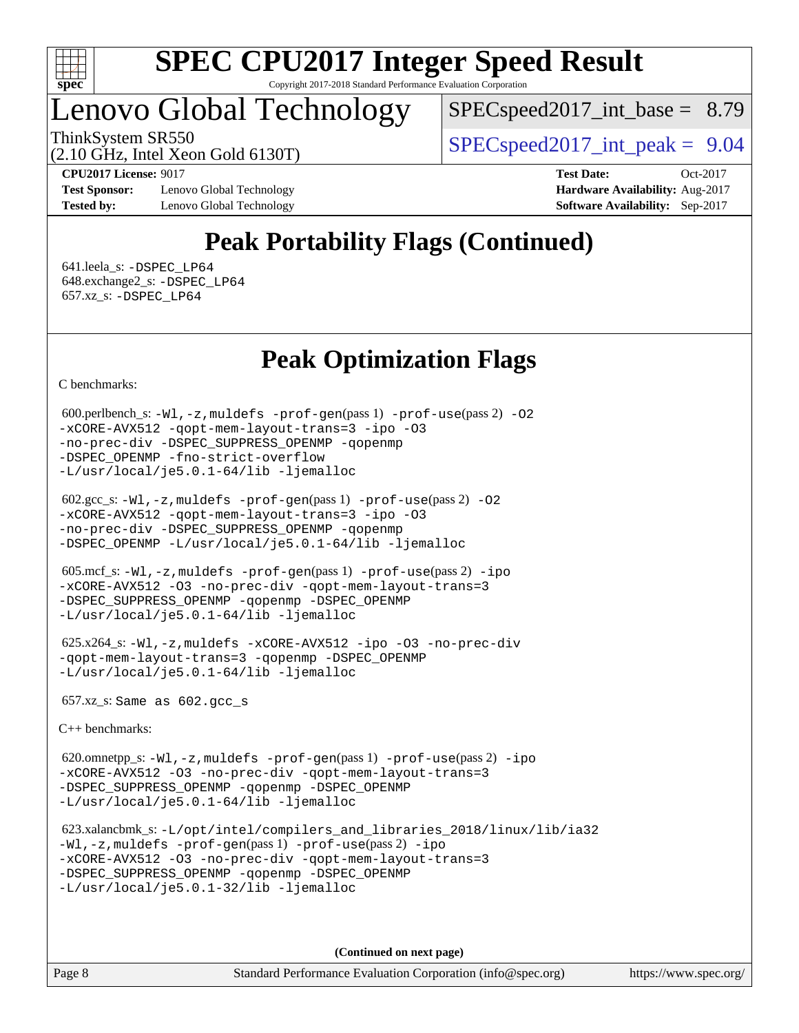

# Lenovo Global Technology

 $SPEC speed2017\_int\_base = 8.79$ 

ThinkSystem SR550  $SPEC speed2017$  int peak = 9.04

(2.10 GHz, Intel Xeon Gold 6130T)

**[Test Sponsor:](http://www.spec.org/auto/cpu2017/Docs/result-fields.html#TestSponsor)** Lenovo Global Technology **[Hardware Availability:](http://www.spec.org/auto/cpu2017/Docs/result-fields.html#HardwareAvailability)** Aug-2017 **[Tested by:](http://www.spec.org/auto/cpu2017/Docs/result-fields.html#Testedby)** Lenovo Global Technology **[Software Availability:](http://www.spec.org/auto/cpu2017/Docs/result-fields.html#SoftwareAvailability)** Sep-2017

**[CPU2017 License:](http://www.spec.org/auto/cpu2017/Docs/result-fields.html#CPU2017License)** 9017 **[Test Date:](http://www.spec.org/auto/cpu2017/Docs/result-fields.html#TestDate)** Oct-2017

# **[Peak Portability Flags \(Continued\)](http://www.spec.org/auto/cpu2017/Docs/result-fields.html#PeakPortabilityFlags)**

 641.leela\_s: [-DSPEC\\_LP64](http://www.spec.org/cpu2017/results/res2018q1/cpu2017-20171225-02196.flags.html#suite_peakPORTABILITY641_leela_s_DSPEC_LP64) 648.exchange2\_s: [-DSPEC\\_LP64](http://www.spec.org/cpu2017/results/res2018q1/cpu2017-20171225-02196.flags.html#suite_peakPORTABILITY648_exchange2_s_DSPEC_LP64) 657.xz\_s: [-DSPEC\\_LP64](http://www.spec.org/cpu2017/results/res2018q1/cpu2017-20171225-02196.flags.html#suite_peakPORTABILITY657_xz_s_DSPEC_LP64)

# **[Peak Optimization Flags](http://www.spec.org/auto/cpu2017/Docs/result-fields.html#PeakOptimizationFlags)**

[C benchmarks](http://www.spec.org/auto/cpu2017/Docs/result-fields.html#Cbenchmarks):

```
 600.perlbench_s: -Wl,-z,muldefs -prof-gen(pass 1) -prof-use(pass 2) -O2
-xCORE-AVX512 -qopt-mem-layout-trans=3 -ipo -O3
-no-prec-div -DSPEC_SUPPRESS_OPENMP -qopenmp
-DSPEC_OPENMP -fno-strict-overflow
-L/usr/local/je5.0.1-64/lib -ljemalloc
```

```
 602.gcc_s: -Wl,-z,muldefs -prof-gen(pass 1) -prof-use(pass 2) -O2
-xCORE-AVX512 -qopt-mem-layout-trans=3 -ipo -O3
-no-prec-div -DSPEC_SUPPRESS_OPENMP -qopenmp
-DSPEC_OPENMP -L/usr/local/je5.0.1-64/lib -ljemalloc
```

```
 605.mcf_s: -Wl,-z,muldefs -prof-gen(pass 1) -prof-use(pass 2) -ipo
-xCORE-AVX512 -O3 -no-prec-div -qopt-mem-layout-trans=3
-DSPEC_SUPPRESS_OPENMP -qopenmp -DSPEC_OPENMP
-L/usr/local/je5.0.1-64/lib -ljemalloc
```

```
 625.x264_s: -Wl,-z,muldefs -xCORE-AVX512 -ipo -O3 -no-prec-div
-qopt-mem-layout-trans=3 -qopenmp -DSPEC_OPENMP
-L/usr/local/je5.0.1-64/lib -ljemalloc
```
657.xz\_s: Same as 602.gcc\_s

[C++ benchmarks:](http://www.spec.org/auto/cpu2017/Docs/result-fields.html#CXXbenchmarks)

```
 620.omnetpp_s: -Wl,-z,muldefs -prof-gen(pass 1) -prof-use(pass 2) -ipo
-xCORE-AVX512 -O3 -no-prec-div -qopt-mem-layout-trans=3
-DSPEC_SUPPRESS_OPENMP -qopenmp -DSPEC_OPENMP
-L/usr/local/je5.0.1-64/lib -ljemalloc
```
 623.xalancbmk\_s: [-L/opt/intel/compilers\\_and\\_libraries\\_2018/linux/lib/ia32](http://www.spec.org/cpu2017/results/res2018q1/cpu2017-20171225-02196.flags.html#user_peakCXXLD623_xalancbmk_s_Enable-32bit-runtime_af243bdb1d79e4c7a4f720bf8275e627de2ecd461de63307bc14cef0633fde3cd7bb2facb32dcc8be9566045fb55d40ce2b72b725f73827aa7833441b71b9343) [-Wl,-z,muldefs](http://www.spec.org/cpu2017/results/res2018q1/cpu2017-20171225-02196.flags.html#user_peakEXTRA_LDFLAGS623_xalancbmk_s_link_force_multiple1_b4cbdb97b34bdee9ceefcfe54f4c8ea74255f0b02a4b23e853cdb0e18eb4525ac79b5a88067c842dd0ee6996c24547a27a4b99331201badda8798ef8a743f577) [-prof-gen](http://www.spec.org/cpu2017/results/res2018q1/cpu2017-20171225-02196.flags.html#user_peakPASS1_CXXFLAGSPASS1_LDFLAGS623_xalancbmk_s_prof_gen_5aa4926d6013ddb2a31985c654b3eb18169fc0c6952a63635c234f711e6e63dd76e94ad52365559451ec499a2cdb89e4dc58ba4c67ef54ca681ffbe1461d6b36)(pass 1) [-prof-use](http://www.spec.org/cpu2017/results/res2018q1/cpu2017-20171225-02196.flags.html#user_peakPASS2_CXXFLAGSPASS2_LDFLAGS623_xalancbmk_s_prof_use_1a21ceae95f36a2b53c25747139a6c16ca95bd9def2a207b4f0849963b97e94f5260e30a0c64f4bb623698870e679ca08317ef8150905d41bd88c6f78df73f19)(pass 2) [-ipo](http://www.spec.org/cpu2017/results/res2018q1/cpu2017-20171225-02196.flags.html#user_peakPASS1_CXXOPTIMIZEPASS2_CXXOPTIMIZE623_xalancbmk_s_f-ipo) [-xCORE-AVX512](http://www.spec.org/cpu2017/results/res2018q1/cpu2017-20171225-02196.flags.html#user_peakPASS2_CXXOPTIMIZE623_xalancbmk_s_f-xCORE-AVX512) [-O3](http://www.spec.org/cpu2017/results/res2018q1/cpu2017-20171225-02196.flags.html#user_peakPASS1_CXXOPTIMIZEPASS2_CXXOPTIMIZE623_xalancbmk_s_f-O3) [-no-prec-div](http://www.spec.org/cpu2017/results/res2018q1/cpu2017-20171225-02196.flags.html#user_peakPASS1_CXXOPTIMIZEPASS2_CXXOPTIMIZE623_xalancbmk_s_f-no-prec-div) [-qopt-mem-layout-trans=3](http://www.spec.org/cpu2017/results/res2018q1/cpu2017-20171225-02196.flags.html#user_peakPASS1_CXXOPTIMIZEPASS2_CXXOPTIMIZE623_xalancbmk_s_f-qopt-mem-layout-trans_de80db37974c74b1f0e20d883f0b675c88c3b01e9d123adea9b28688d64333345fb62bc4a798493513fdb68f60282f9a726aa07f478b2f7113531aecce732043) [-DSPEC\\_SUPPRESS\\_OPENMP](http://www.spec.org/cpu2017/results/res2018q1/cpu2017-20171225-02196.flags.html#suite_peakPASS1_CXXOPTIMIZE623_xalancbmk_s_DSPEC_SUPPRESS_OPENMP) [-qopenmp](http://www.spec.org/cpu2017/results/res2018q1/cpu2017-20171225-02196.flags.html#user_peakPASS2_CXXOPTIMIZE623_xalancbmk_s_qopenmp_16be0c44f24f464004c6784a7acb94aca937f053568ce72f94b139a11c7c168634a55f6653758ddd83bcf7b8463e8028bb0b48b77bcddc6b78d5d95bb1df2967) [-DSPEC\\_OPENMP](http://www.spec.org/cpu2017/results/res2018q1/cpu2017-20171225-02196.flags.html#suite_peakPASS2_CXXOPTIMIZE623_xalancbmk_s_DSPEC_OPENMP) [-L/usr/local/je5.0.1-32/lib](http://www.spec.org/cpu2017/results/res2018q1/cpu2017-20171225-02196.flags.html#user_peakEXTRA_LIBS623_xalancbmk_s_jemalloc_link_path32_e29f22e8e6c17053bbc6a0971f5a9c01a601a06bb1a59df2084b77a2fe0a2995b64fd4256feaeea39eeba3aae142e96e2b2b0a28974019c0c0c88139a84f900a) [-ljemalloc](http://www.spec.org/cpu2017/results/res2018q1/cpu2017-20171225-02196.flags.html#user_peakEXTRA_LIBS623_xalancbmk_s_jemalloc_link_lib_d1249b907c500fa1c0672f44f562e3d0f79738ae9e3c4a9c376d49f265a04b9c99b167ecedbf6711b3085be911c67ff61f150a17b3472be731631ba4d0471706)

**(Continued on next page)**